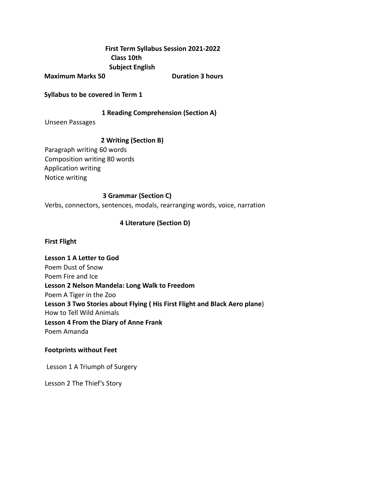# **First Term Syllabus Session 2021-2022 Class 10th Subject English**

**Maximum Marks 50 Duration 3 hours** 

**Syllabus to be covered in Term 1**

#### **1 Reading Comprehension (Section A)**

Unseen Passages

## **2 Writing (Section B)**

Paragraph writing 60 words Composition writing 80 words Application writing Notice writing

## **3 Grammar (Section C)**

Verbs, connectors, sentences, modals, rearranging words, voice, narration

## **4 Literature (Section D)**

#### **First Flight**

**Lesson 1 A Letter to God** Poem Dust of Snow Poem Fire and Ice **Lesson 2 Nelson Mandela: Long Walk to Freedom** Poem A Tiger in the Zoo **Lesson 3 Two Stories about Flying ( His First Flight and Black Aero plane**) How to Tell Wild Animals **Lesson 4 From the Diary of Anne Frank** Poem Amanda

#### **Footprints without Feet**

Lesson 1 A Triumph of Surgery

Lesson 2 The Thief's Story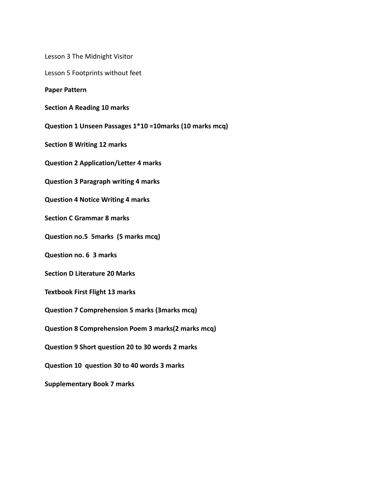Lesson 3 The Midnight Visitor

Lesson 5 Footprints without feet

**Paper Pattern**

**Section A Reading 10 marks**

**Question 1 Unseen Passages 1\*10 =10marks (10 marks mcq)**

**Section B Writing 12 marks**

**Question 2 Application/Letter 4 marks**

**Question 3 Paragraph writing 4 marks**

**Question 4 Notice Writing 4 marks**

**Section C Grammar 8 marks**

**Question no.5 5marks (5 marks mcq)**

**Question no. 6 3 marks**

**Section D Literature 20 Marks**

**Textbook First Flight 13 marks**

**Question 7 Comprehension 5 marks (3marks mcq)**

**Question 8 Comprehension Poem 3 marks(2 marks mcq)**

**Question 9 Short question 20 to 30 words 2 marks**

**Question 10 question 30 to 40 words 3 marks**

**Supplementary Book 7 marks**